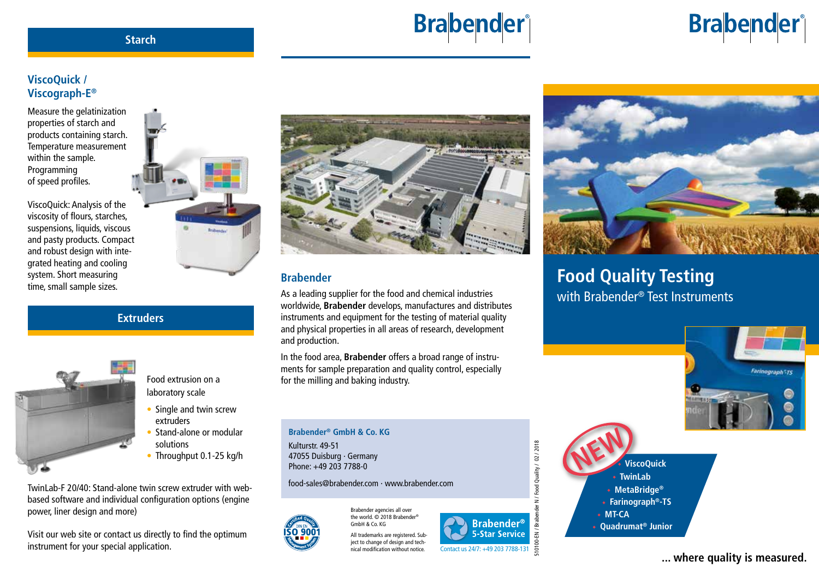# **Brabender**®

#### **Starch**

## **ViscoQuick / Viscograph-E®**

Measure the gelatinization properties of starch and products containing starch. Temperature measurement within the sample. Programming of speed profiles.

ViscoQuick: Analysis of the viscosity of flours, starches, suspensions, liquids, viscous and pasty products. Compact and robust design with integrated heating and cooling system. Short measuring time, small sample sizes.



#### **Extruders**



Food extrusion on a laboratory scale

- Single and twin screw extruders
- Stand-alone or modular solutions
- Throughput 0.1-25 kg/h

TwinLab-F 20/40: Stand-alone twin screw extruder with webbased software and individual configuration options (engine power, liner design and more)

Visit our web site or contact us directly to find the optimum instrument for your special application.



## **Brabender**

As a leading supplier for the food and chemical industries worldwide, **Brabender** develops, manufactures and distributes instruments and equipment for the testing of material quality and physical properties in all areas of research, development and production.

In the food area, **Brabender** offers a broad range of instruments for sample preparation and quality control, especially for the milling and baking industry.

#### **Brabender® GmbH & Co. KG**

Kulturstr. 49-51 47055 Duisburg · Germany Phone: +49 203 7788-0

#### food-sales@brabender.com · www.brabender.com

Brabender agencies all over the world. © 2018 Brabender® GmbH & Co. KG

> All trademarks are registered. Subiect to change of design and technical modification without notice.



## **Food Quality Testing** with Brabender<sup>®</sup> Test Instruments

Farinograph<sup>+</sup>TS

**Brabender**®



**... where quality is measured.**